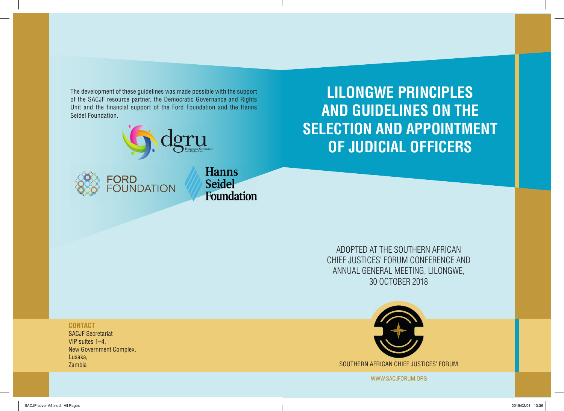The development of these guidelines was made possible with the support of the SACJF resource partner, the Democratic Governance and Rights Unit and the financial support of the Ford Foundation and the Hanns Seidel Foundation.



ORD

**UNDATION** 

**Hanns** Seidel **Foundation** 

**LILONGWE PRINCIPLES AND GUIDELINES ON THE SELECTION AND APPOINTMENT OF JUDICIAL OFFICERS**

> ADOPTED AT THE SOUTHERN AFRICAN CHIEF JUSTICES' FORUM CONFERENCE AND ANNUAL GENERAL MEETING, LILONGWE, 30 OCTOBER 2018



SOUTHERN AFRICAN CHIEF JUSTICES' FORUM

WWW.SACJFORUM.ORG

#### **CONTACT**

SACJF Secretariat VIP suites 1–4, New Government Complex, Lusaka, Zambia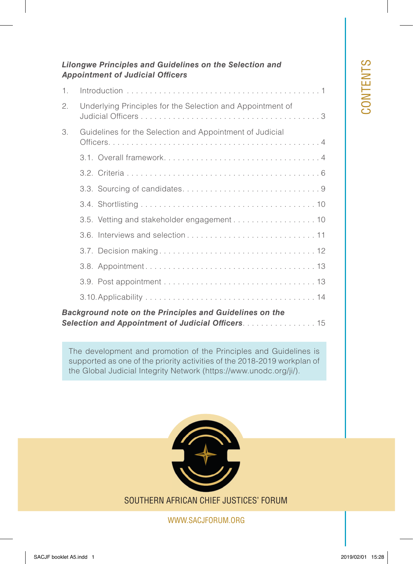# CONTENTS CONTENTS

# *Lilongwe Principles and Guidelines on the Selection and Appointment of Judicial Officers*

| 1. |                                                            |  |
|----|------------------------------------------------------------|--|
| 2. | Underlying Principles for the Selection and Appointment of |  |
| 3. | Guidelines for the Selection and Appointment of Judicial   |  |
|    |                                                            |  |
|    |                                                            |  |
|    |                                                            |  |
|    |                                                            |  |
|    |                                                            |  |
|    |                                                            |  |
|    |                                                            |  |
|    |                                                            |  |
|    |                                                            |  |
|    |                                                            |  |

#### *Background note on the Principles and Guidelines on the Selection and Appointment of Judicial Officers* . . . . . . . . . . . . . . . . 15

The development and promotion of the Principles and Guidelines is supported as one of the priority activities of the 2018-2019 workplan of the Global Judicial Integrity Network (https://www.unodc.org/ji/).



SOUTHERN AFRICAN CHIEF JUSTICES' FORUM

WWW.SACJFORUM.ORG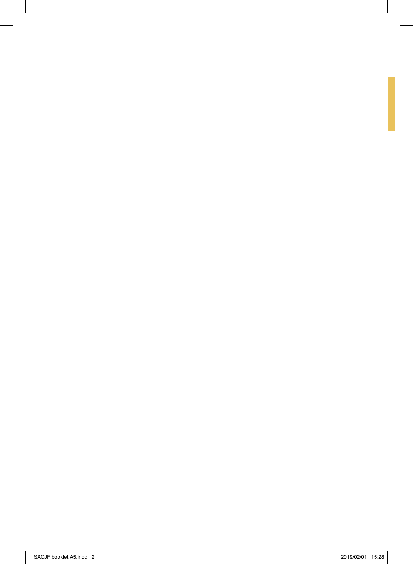$\overline{\phantom{a}}$ 

I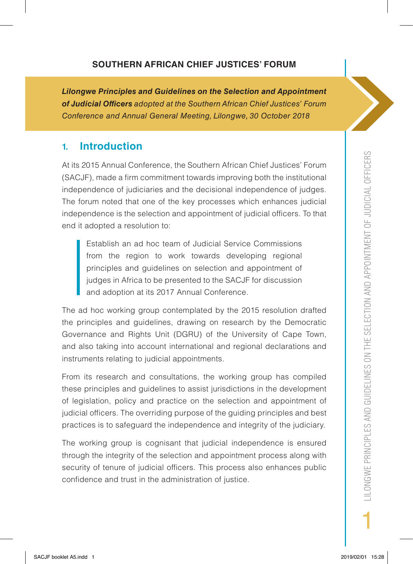# **SOUTHERN AFRICAN CHIEF JUSTICES' FORUM**

*Lilongwe Principles and Guidelines on the Selection and Appointment of Judicial Officers adopted at the Southern African Chief Justices' Forum Conference and Annual General Meeting, Lilongwe, 30 October 2018*

# **1. Introduction**

At its 2015 Annual Conference, the Southern African Chief Justices' Forum (SACJF), made a firm commitment towards improving both the institutional independence of judiciaries and the decisional independence of judges. The forum noted that one of the key processes which enhances judicial independence is the selection and appointment of judicial officers. To that end it adopted a resolution to:

Establish an ad hoc team of Judicial Service Commissions from the region to work towards developing regional principles and guidelines on selection and appointment of judges in Africa to be presented to the SACJF for discussion and adoption at its 2017 Annual Conference.

The ad hoc working group contemplated by the 2015 resolution drafted the principles and guidelines, drawing on research by the Democratic Governance and Rights Unit (DGRU) of the University of Cape Town, and also taking into account international and regional declarations and instruments relating to judicial appointments.

From its research and consultations, the working group has compiled these principles and guidelines to assist jurisdictions in the development of legislation, policy and practice on the selection and appointment of judicial officers. The overriding purpose of the guiding principles and best practices is to safeguard the independence and integrity of the judiciary.

The working group is cognisant that judicial independence is ensured through the integrity of the selection and appointment process along with security of tenure of judicial officers. This process also enhances public confidence and trust in the administration of justice.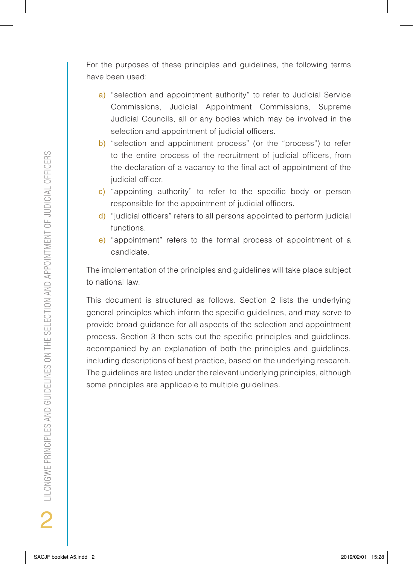For the purposes of these principles and guidelines, the following terms have been used:

- a) "selection and appointment authority" to refer to Judicial Service Commissions, Judicial Appointment Commissions, Supreme Judicial Councils, all or any bodies which may be involved in the selection and appointment of judicial officers.
- b) "selection and appointment process" (or the "process") to refer to the entire process of the recruitment of judicial officers, from the declaration of a vacancy to the final act of appointment of the judicial officer.
- c) "appointing authority" to refer to the specific body or person responsible for the appointment of judicial officers.
- d) "judicial officers" refers to all persons appointed to perform judicial functions.
- e) "appointment" refers to the formal process of appointment of a candidate.

The implementation of the principles and guidelines will take place subject to national law.

This document is structured as follows. Section 2 lists the underlying general principles which inform the specific guidelines, and may serve to provide broad guidance for all aspects of the selection and appointment process. Section 3 then sets out the specific principles and guidelines, accompanied by an explanation of both the principles and guidelines, including descriptions of best practice, based on the underlying research. The guidelines are listed under the relevant underlying principles, although some principles are applicable to multiple guidelines.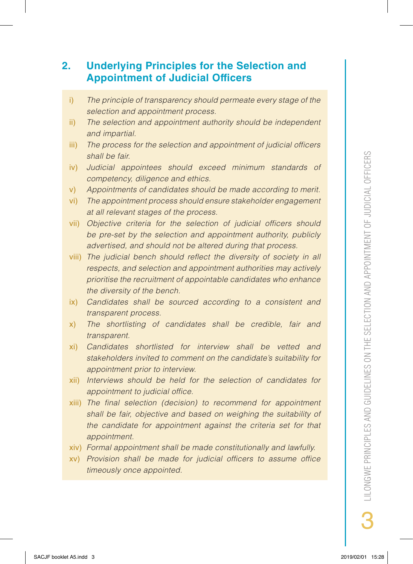# **2. Underlying Principles for the Selection and Appointment of Judicial Officers**

- i) *The principle of transparency should permeate every stage of the selection and appointment process.*
- ii) *The selection and appointment authority should be independent and impartial.*
- iii) *The process for the selection and appointment of judicial officers shall be fair.*
- iv) *Judicial appointees should exceed minimum standards of competency, diligence and ethics.*
- v) *Appointments of candidates should be made according to merit.*
- vi) *The appointment process should ensure stakeholder engagement at all relevant stages of the process.*
- vii) *Objective criteria for the selection of judicial officers should be pre-set by the selection and appointment authority, publicly advertised, and should not be altered during that process.*
- viii) *The judicial bench should reflect the diversity of society in all respects, and selection and appointment authorities may actively prioritise the recruitment of appointable candidates who enhance the diversity of the bench.*
- ix) *Candidates shall be sourced according to a consistent and transparent process.*
- x) *The shortlisting of candidates shall be credible, fair and transparent.*
- xi) *Candidates shortlisted for interview shall be vetted and stakeholders invited to comment on the candidate's suitability for appointment prior to interview.*
- xii) *Interviews should be held for the selection of candidates for appointment to judicial office.*
- xiii) *The final selection (decision) to recommend for appointment shall be fair, objective and based on weighing the suitability of the candidate for appointment against the criteria set for that appointment.*
- xiv) *Formal appointment shall be made constitutionally and lawfully.*
- xv) *Provision shall be made for judicial officers to assume office timeously once appointed.*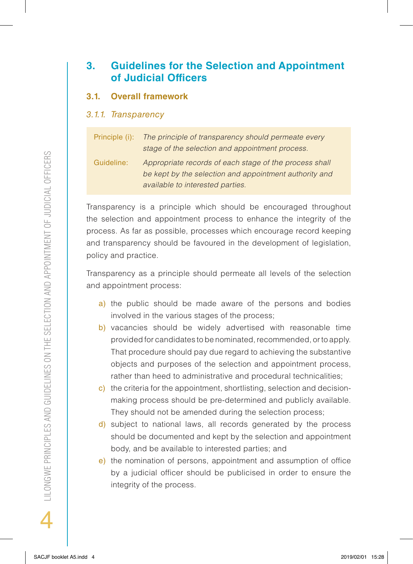# **3. Guidelines for the Selection and Appointment of Judicial Officers**

#### **3.1. Overall framework**

#### *3.1.1. Transparency*

| Principle (i): | The principle of transparency should permeate every    |
|----------------|--------------------------------------------------------|
|                | stage of the selection and appointment process.        |
| Guideline:     | Appropriate records of each stage of the process shall |
|                | be kept by the selection and appointment authority and |
|                | available to interested parties.                       |

Transparency is a principle which should be encouraged throughout the selection and appointment process to enhance the integrity of the process. As far as possible, processes which encourage record keeping and transparency should be favoured in the development of legislation, policy and practice.

Transparency as a principle should permeate all levels of the selection and appointment process:

- a) the public should be made aware of the persons and bodies involved in the various stages of the process;
- b) vacancies should be widely advertised with reasonable time provided for candidates to be nominated, recommended, or to apply. That procedure should pay due regard to achieving the substantive objects and purposes of the selection and appointment process, rather than heed to administrative and procedural technicalities;
- c) the criteria for the appointment, shortlisting, selection and decisionmaking process should be pre-determined and publicly available. They should not be amended during the selection process;
- d) subject to national laws, all records generated by the process should be documented and kept by the selection and appointment body, and be available to interested parties; and
- e) the nomination of persons, appointment and assumption of office by a judicial officer should be publicised in order to ensure the integrity of the process.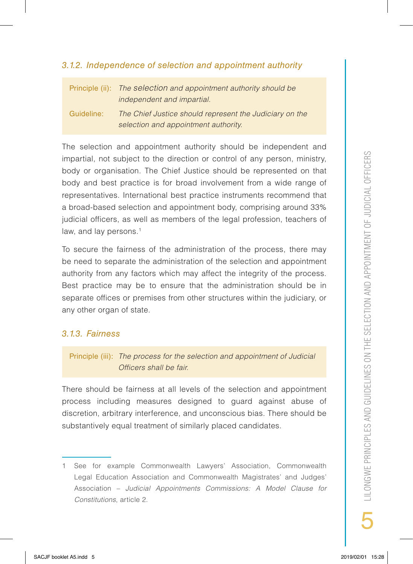# LILONGWE PRINCIPLES AND GUIDELINES ON THE SELECTION AND APPOINTMENT OF JUDICIAL OFFICERS **STATES AND GUIDELINES ON THE SELECTION AND APPOINTMENT OF JUDICIAL OFFICERS**

# *3.1.2. Independence of selection and appointment authority*

|            | Principle (ii): The selection and appointment authority should be |
|------------|-------------------------------------------------------------------|
|            | independent and impartial.                                        |
| Guideline: | The Chief Justice should represent the Judiciary on the           |
|            | selection and appointment authority.                              |

The selection and appointment authority should be independent and impartial, not subject to the direction or control of any person, ministry, body or organisation. The Chief Justice should be represented on that body and best practice is for broad involvement from a wide range of representatives. International best practice instruments recommend that a broad-based selection and appointment body, comprising around 33% judicial officers, as well as members of the legal profession, teachers of law, and lay persons.<sup>1</sup>

To secure the fairness of the administration of the process, there may be need to separate the administration of the selection and appointment authority from any factors which may affect the integrity of the process. Best practice may be to ensure that the administration should be in separate offices or premises from other structures within the judiciary, or any other organ of state.

## *3.1.3. Fairness*

Principle (iii): *The process for the selection and appointment of Judicial Officers shall be fair.* 

There should be fairness at all levels of the selection and appointment process including measures designed to guard against abuse of discretion, arbitrary interference, and unconscious bias. There should be substantively equal treatment of similarly placed candidates.

<sup>1</sup> See for example Commonwealth Lawyers' Association, Commonwealth Legal Education Association and Commonwealth Magistrates' and Judges' Association – *Judicial Appointments Commissions: A Model Clause for Constitutions*, article 2.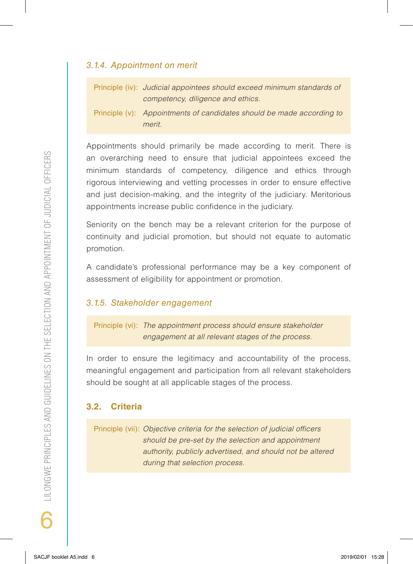#### *3.1.4. Appointment on merit*

- Principle (iv): *Judicial appointees should exceed minimum standards of competency, diligence and ethics.*
- Principle (v): *Appointments of candidates should be made according to merit.*

Appointments should primarily be made according to merit. There is an overarching need to ensure that judicial appointees exceed the minimum standards of competency, diligence and ethics through rigorous interviewing and vetting processes in order to ensure effective and just decision-making, and the integrity of the judiciary. Meritorious appointments increase public confidence in the judiciary.

Seniority on the bench may be a relevant criterion for the purpose of continuity and judicial promotion, but should not equate to automatic promotion.

A candidate's professional performance may be a key component of assessment of eligibility for appointment or promotion.

#### *3.1.5. Stakeholder engagement*

Principle (vi): *The appointment process should ensure stakeholder engagement at all relevant stages of the process.*

In order to ensure the legitimacy and accountability of the process, meaningful engagement and participation from all relevant stakeholders should be sought at all applicable stages of the process.

#### **3.2. Criteria**

Principle (vii): *Objective criteria for the selection of judicial officers should be pre-set by the selection and appointment authority, publicly advertised, and should not be altered during that selection process.*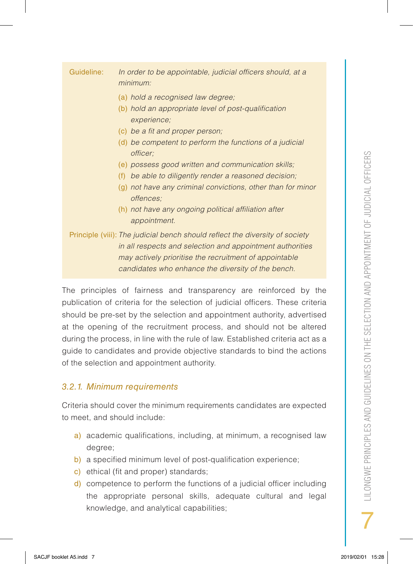| Guideline: | In order to be appointable, judicial officers should, at a<br>minimum:                                                                                                    |  |
|------------|---------------------------------------------------------------------------------------------------------------------------------------------------------------------------|--|
|            | (a) hold a recognised law degree;<br>(b) hold an appropriate level of post-qualification                                                                                  |  |
|            | experience;                                                                                                                                                               |  |
|            | (c) be a fit and proper person;                                                                                                                                           |  |
|            | (d) be competent to perform the functions of a judicial<br>officer:                                                                                                       |  |
|            | (e) possess good written and communication skills;                                                                                                                        |  |
|            | $(f)$ be able to diligently render a reasoned decision;                                                                                                                   |  |
|            | $(q)$ not have any criminal convictions, other than for minor<br>offences:                                                                                                |  |
|            | (h) not have any ongoing political affiliation after<br>appointment.                                                                                                      |  |
|            | Principle (viii): The judicial bench should reflect the diversity of society                                                                                              |  |
|            | in all respects and selection and appointment authorities<br>may actively prioritise the recruitment of appointable<br>candidates who enhance the diversity of the bench. |  |
|            |                                                                                                                                                                           |  |

The principles of fairness and transparency are reinforced by the publication of criteria for the selection of judicial officers. These criteria should be pre-set by the selection and appointment authority, advertised at the opening of the recruitment process, and should not be altered during the process, in line with the rule of law. Established criteria act as a guide to candidates and provide objective standards to bind the actions of the selection and appointment authority.

#### *3.2.1. Minimum requirements*

Criteria should cover the minimum requirements candidates are expected to meet, and should include:

- a) academic qualifications, including, at minimum, a recognised law degree;
- b) a specified minimum level of post-qualification experience;
- c) ethical (fit and proper) standards;
- d) competence to perform the functions of a judicial officer including the appropriate personal skills, adequate cultural and legal knowledge, and analytical capabilities;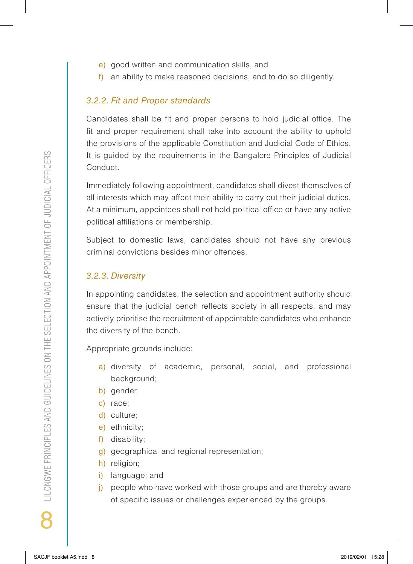- e) good written and communication skills, and
- f) an ability to make reasoned decisions, and to do so diligently.

## *3.2.2. Fit and Proper standards*

Candidates shall be fit and proper persons to hold judicial office. The fit and proper requirement shall take into account the ability to uphold the provisions of the applicable Constitution and Judicial Code of Ethics. It is guided by the requirements in the Bangalore Principles of Judicial Conduct.

Immediately following appointment, candidates shall divest themselves of all interests which may affect their ability to carry out their judicial duties. At a minimum, appointees shall not hold political office or have any active political affiliations or membership.

Subject to domestic laws, candidates should not have any previous criminal convictions besides minor offences.

#### *3.2.3. Diversity*

In appointing candidates, the selection and appointment authority should ensure that the judicial bench reflects society in all respects, and may actively prioritise the recruitment of appointable candidates who enhance the diversity of the bench.

Appropriate grounds include:

- a) diversity of academic, personal, social, and professional background;
- b) gender;
- c) race;
- d) culture;
- e) ethnicity;
- f) disability;
- g) geographical and regional representation;
- h) religion;
- i) language; and
- j) people who have worked with those groups and are thereby aware of specific issues or challenges experienced by the groups.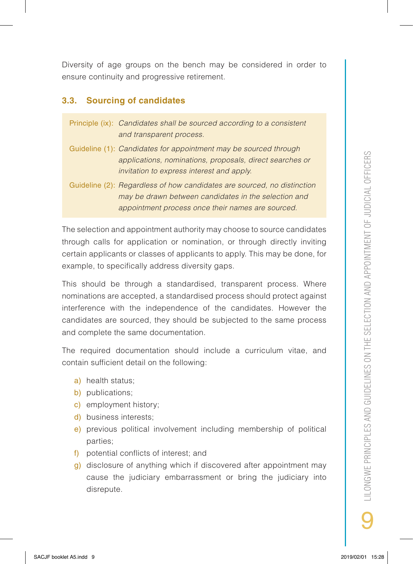Diversity of age groups on the bench may be considered in order to ensure continuity and progressive retirement.

#### **3.3. Sourcing of candidates**

- Principle (ix): *Candidates shall be sourced according to a consistent and transparent process.*
- Guideline (1): *Candidates for appointment may be sourced through applications, nominations, proposals, direct searches or invitation to express interest and apply.*
- Guideline (2): *Regardless of how candidates are sourced, no distinction may be drawn between candidates in the selection and appointment process once their names are sourced.*

The selection and appointment authority may choose to source candidates through calls for application or nomination, or through directly inviting certain applicants or classes of applicants to apply. This may be done, for example, to specifically address diversity gaps.

This should be through a standardised, transparent process. Where nominations are accepted, a standardised process should protect against interference with the independence of the candidates. However the candidates are sourced, they should be subjected to the same process and complete the same documentation.

The required documentation should include a curriculum vitae, and contain sufficient detail on the following:

- a) health status;
- b) publications;
- c) employment history;
- d) business interests;
- e) previous political involvement including membership of political parties;
- f) potential conflicts of interest; and
- g) disclosure of anything which if discovered after appointment may cause the judiciary embarrassment or bring the judiciary into disrepute.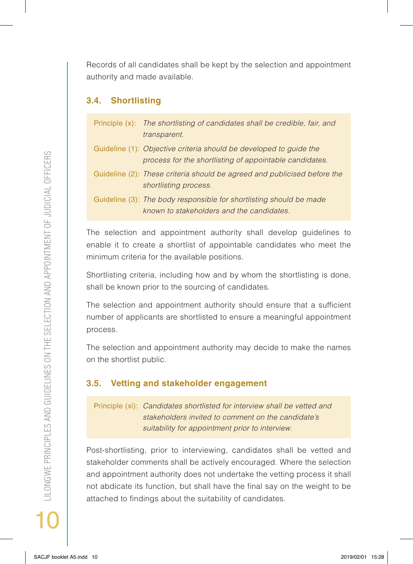Records of all candidates shall be kept by the selection and appointment authority and made available.

#### **3.4. Shortlisting**

- Principle (x): *The shortlisting of candidates shall be credible, fair, and transparent.*
- Guideline (1): *Objective criteria should be developed to guide the process for the shortlisting of appointable candidates.*
- Guideline (2): *These criteria should be agreed and publicised before the shortlisting process.*
- Guideline (3): *The body responsible for shortlisting should be made known to stakeholders and the candidates.*

The selection and appointment authority shall develop guidelines to enable it to create a shortlist of appointable candidates who meet the minimum criteria for the available positions.

Shortlisting criteria, including how and by whom the shortlisting is done, shall be known prior to the sourcing of candidates.

The selection and appointment authority should ensure that a sufficient number of applicants are shortlisted to ensure a meaningful appointment process.

The selection and appointment authority may decide to make the names on the shortlist public.

#### **3.5. Vetting and stakeholder engagement**

Principle (xi): *Candidates shortlisted for interview shall be vetted and stakeholders invited to comment on the candidate's suitability for appointment prior to interview.*

Post-shortlisting, prior to interviewing, candidates shall be vetted and stakeholder comments shall be actively encouraged. Where the selection and appointment authority does not undertake the vetting process it shall not abdicate its function, but shall have the final say on the weight to be attached to findings about the suitability of candidates.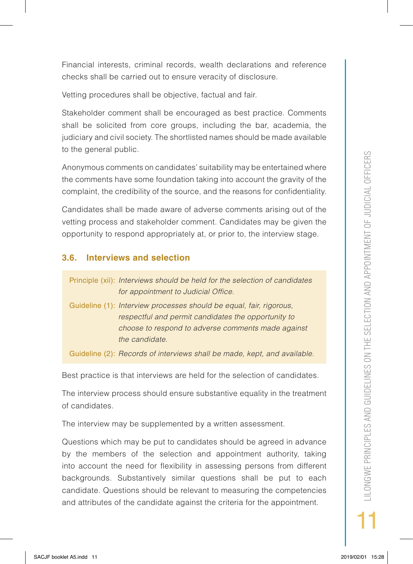Financial interests, criminal records, wealth declarations and reference checks shall be carried out to ensure veracity of disclosure.

Vetting procedures shall be objective, factual and fair.

Stakeholder comment shall be encouraged as best practice. Comments shall be solicited from core groups, including the bar, academia, the judiciary and civil society. The shortlisted names should be made available to the general public.

Anonymous comments on candidates' suitability may be entertained where the comments have some foundation taking into account the gravity of the complaint, the credibility of the source, and the reasons for confidentiality.

Candidates shall be made aware of adverse comments arising out of the vetting process and stakeholder comment. Candidates may be given the opportunity to respond appropriately at, or prior to, the interview stage.

#### **3.6. Interviews and selection**

- Principle (xii): *Interviews should be held for the selection of candidates for appointment to Judicial Office.*
- Guideline (1): *Interview processes should be equal, fair, rigorous, respectful and permit candidates the opportunity to choose to respond to adverse comments made against the candidate.*

Guideline (2): *Records of interviews shall be made, kept, and available.*

Best practice is that interviews are held for the selection of candidates.

The interview process should ensure substantive equality in the treatment of candidates.

The interview may be supplemented by a written assessment.

Questions which may be put to candidates should be agreed in advance by the members of the selection and appointment authority, taking into account the need for flexibility in assessing persons from different backgrounds. Substantively similar questions shall be put to each candidate. Questions should be relevant to measuring the competencies and attributes of the candidate against the criteria for the appointment.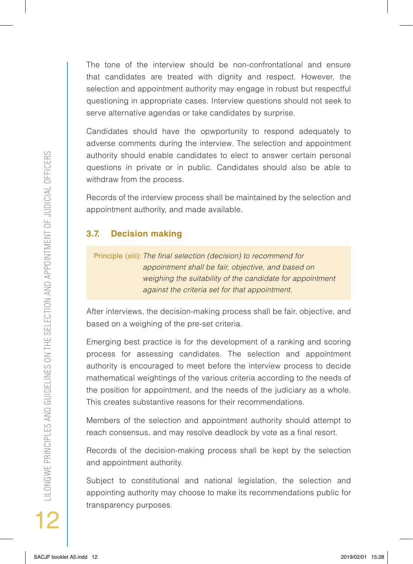The tone of the interview should be non-confrontational and ensure that candidates are treated with dignity and respect. However, the selection and appointment authority may engage in robust but respectful questioning in appropriate cases. Interview questions should not seek to serve alternative agendas or take candidates by surprise.

Candidates should have the opwportunity to respond adequately to adverse comments during the interview. The selection and appointment authority should enable candidates to elect to answer certain personal questions in private or in public. Candidates should also be able to withdraw from the process.

Records of the interview process shall be maintained by the selection and appointment authority, and made available.

#### **3.7. Decision making**

Principle (xiii): *The final selection (decision) to recommend for appointment shall be fair, objective, and based on weighing the suitability of the candidate for appointment against the criteria set for that appointment.*

After interviews, the decision-making process shall be fair, objective, and based on a weighing of the pre-set criteria.

Emerging best practice is for the development of a ranking and scoring process for assessing candidates. The selection and appointment authority is encouraged to meet before the interview process to decide mathematical weightings of the various criteria according to the needs of the position for appointment, and the needs of the judiciary as a whole. This creates substantive reasons for their recommendations.

Members of the selection and appointment authority should attempt to reach consensus, and may resolve deadlock by vote as a final resort.

Records of the decision-making process shall be kept by the selection and appointment authority.

Subject to constitutional and national legislation, the selection and appointing authority may choose to make its recommendations public for transparency purposes.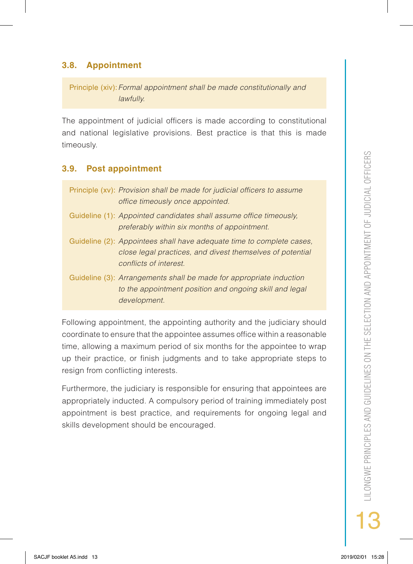# **3.8. Appointment**

Principle (xiv):*Formal appointment shall be made constitutionally and lawfully.*

The appointment of judicial officers is made according to constitutional and national legislative provisions. Best practice is that this is made timeously.

#### **3.9. Post appointment**

| Principle (xv): Provision shall be made for judicial officers to assume<br>office timeously once appointed.                                                  |
|--------------------------------------------------------------------------------------------------------------------------------------------------------------|
| Guideline (1): Appointed candidates shall assume office timeously,<br>preferably within six months of appointment.                                           |
| Guideline (2): Appointees shall have adequate time to complete cases,<br>close legal practices, and divest themselves of potential<br>conflicts of interest. |
| Guideline (3): Arrangements shall be made for appropriate induction<br>to the appointment position and ongoing skill and legal<br>development.               |

Following appointment, the appointing authority and the judiciary should coordinate to ensure that the appointee assumes office within a reasonable time, allowing a maximum period of six months for the appointee to wrap up their practice, or finish judgments and to take appropriate steps to resign from conflicting interests.

Furthermore, the judiciary is responsible for ensuring that appointees are appropriately inducted. A compulsory period of training immediately post appointment is best practice, and requirements for ongoing legal and skills development should be encouraged.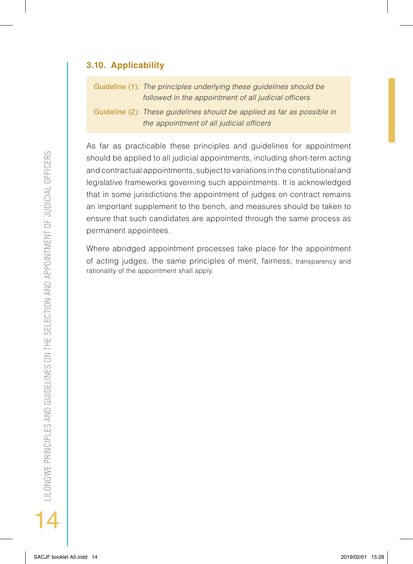# **3.10. Applicability**

Guideline (1): *The principles underlying these guidelines should be followed in the appointment of all judicial officers*

Guideline (2): *These guidelines should be applied as far as possible in the appointment of all judicial officers*

As far as practicable these principles and guidelines for appointment should be applied to all judicial appointments, including short-term acting and contractual appointments, subject to variations in the constitutional and legislative frameworks governing such appointments. It is acknowledged that in some jurisdictions the appointment of judges on contract remains an important supplement to the bench, and measures should be taken to ensure that such candidates are appointed through the same process as permanent appointees.

Where abridged appointment processes take place for the appointment of acting judges, the same principles of merit, fairness, transparency and rationality of the appointment shall apply.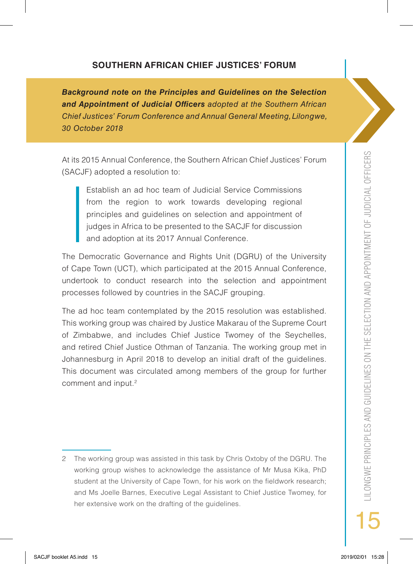# **SOUTHERN AFRICAN CHIEF JUSTICES' FORUM**

*Background note on the Principles and Guidelines on the Selection and Appointment of Judicial Officers adopted at the Southern African Chief Justices' Forum Conference and Annual General Meeting, Lilongwe, 30 October 2018*

At its 2015 Annual Conference, the Southern African Chief Justices' Forum (SACJF) adopted a resolution to:

Establish an ad hoc team of Judicial Service Commissions from the region to work towards developing regional principles and guidelines on selection and appointment of judges in Africa to be presented to the SACJF for discussion and adoption at its 2017 Annual Conference.

The Democratic Governance and Rights Unit (DGRU) of the University of Cape Town (UCT), which participated at the 2015 Annual Conference, undertook to conduct research into the selection and appointment processes followed by countries in the SACJF grouping.

The ad hoc team contemplated by the 2015 resolution was established. This working group was chaired by Justice Makarau of the Supreme Court of Zimbabwe, and includes Chief Justice Twomey of the Seychelles, and retired Chief Justice Othman of Tanzania. The working group met in Johannesburg in April 2018 to develop an initial draft of the guidelines. This document was circulated among members of the group for further comment and input.<sup>2</sup>

<sup>2</sup> The working group was assisted in this task by Chris Oxtoby of the DGRU. The working group wishes to acknowledge the assistance of Mr Musa Kika, PhD student at the University of Cape Town, for his work on the fieldwork research; and Ms Joelle Barnes, Executive Legal Assistant to Chief Justice Twomey, for her extensive work on the drafting of the guidelines.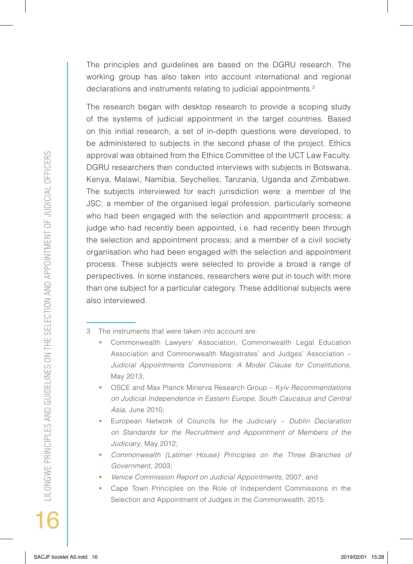The principles and guidelines are based on the DGRU research. The working group has also taken into account international and regional declarations and instruments relating to judicial appointments.3

The research began with desktop research to provide a scoping study of the systems of judicial appointment in the target countries. Based on this initial research, a set of in-depth questions were developed, to be administered to subjects in the second phase of the project. Ethics approval was obtained from the Ethics Committee of the UCT Law Faculty. DGRU researchers then conducted interviews with subjects in Botswana, Kenya, Malawi, Namibia, Seychelles, Tanzania, Uganda and Zimbabwe. The subjects interviewed for each jurisdiction were: a member of the JSC; a member of the organised legal profession, particularly someone who had been engaged with the selection and appointment process; a judge who had recently been appointed, i.e. had recently been through the selection and appointment process; and a member of a civil society organisation who had been engaged with the selection and appointment process. These subjects were selected to provide a broad a range of perspectives. In some instances, researchers were put in touch with more than one subject for a particular category. These additional subjects were also interviewed.

- 3 The instruments that were taken into account are:
	- Commonwealth Lawyers' Association, Commonwealth Legal Education Association and Commonwealth Magistrates' and Judges' Association – *Judicial Appointments Commissions: A Model Clause for Constitutions*, May 2013;
	- OSCE and Max Planck Minerva Research Group *Kyiv Recommendations on Judicial Independence in Eastern Europe, South Caucasus and Central Asia*, June 2010;
	- European Network of Councils for the Judiciary *Dublin Declaration on Standards for the Recruitment and Appointment of Members of the Judiciary*, May 2012;
	- *Commonwealth (Latimer House) Principles on the Three Branches of Government*, 2003;
	- *Venice Commission Report on Judicial Appointments*, 2007; and
	- Cape Town Principles on the Role of Independent Commissions in the Selection and Appointment of Judges in the Commonwealth, 2015.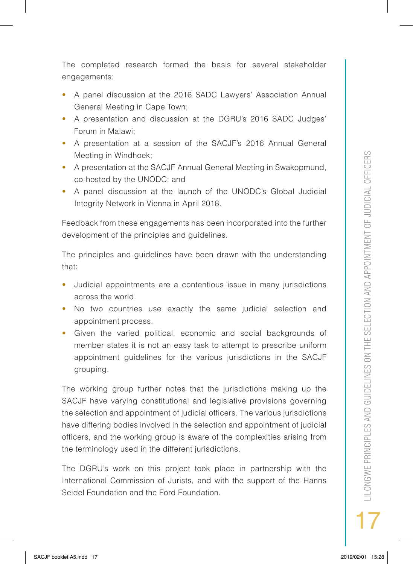The completed research formed the basis for several stakeholder engagements:

- A panel discussion at the 2016 SADC Lawyers' Association Annual General Meeting in Cape Town;
- A presentation and discussion at the DGRU's 2016 SADC Judges' Forum in Malawi;
- A presentation at a session of the SACJF's 2016 Annual General Meeting in Windhoek;
- A presentation at the SACJF Annual General Meeting in Swakopmund, co-hosted by the UNODC; and
- A panel discussion at the launch of the UNODC's Global Judicial Integrity Network in Vienna in April 2018.

Feedback from these engagements has been incorporated into the further development of the principles and guidelines.

The principles and guidelines have been drawn with the understanding that:

- Judicial appointments are a contentious issue in many jurisdictions across the world.
- No two countries use exactly the same judicial selection and appointment process.
- Given the varied political, economic and social backgrounds of member states it is not an easy task to attempt to prescribe uniform appointment guidelines for the various jurisdictions in the SACJF grouping.

The working group further notes that the jurisdictions making up the SACJF have varying constitutional and legislative provisions governing the selection and appointment of judicial officers. The various jurisdictions have differing bodies involved in the selection and appointment of judicial officers, and the working group is aware of the complexities arising from the terminology used in the different jurisdictions.

The DGRU's work on this project took place in partnership with the International Commission of Jurists, and with the support of the Hanns Seidel Foundation and the Ford Foundation.